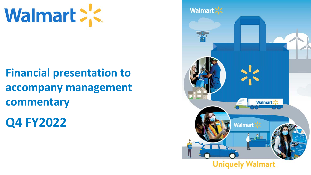

# **Financial presentation to accompany management commentary**

**Q4 FY2022**



**Uniquely Walmart**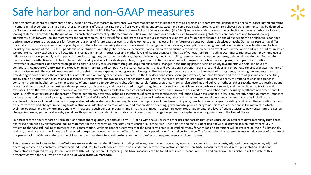### Safe harbor and non-GAAP measures



This presentation contains statements or may include or may incorporate by reference Walmart management's guidance regarding earnings per share growth, consolidated net sales, consolidated operating income, capital expenditures, share repurchases, Walmart's effective tax rate for the fiscal year ending January 31, 2023, and comparable sales growth. Walmart believes such statements may be deemed to be "forward-looking statements" within the meaning of Section 21E of the Securities Exchange Act of 1934, as amended (the "Act") and are intended to enjoy the protection of the safe harbor for forwardlooking statements provided by the Act as well as protections afforded by other federal securities laws. Assumptions on which such forward-looking statements are based are also forward-looking statements. Such forward-looking statements are not statements of historical facts, but instead express our estimates or expectations for our consolidated, or one of our segment's or business', economic performance or results of operations for future periods or as of future dates or events or developments that may occur in the future or discuss our plans, objectives or goals. Our actual results may differ materially from those expressed in or implied by any of these forward-looking statements as a result of changes in circumstances, assumptions not being realized or other risks, uncertainties and factors including: the impact of the COVID-19 pandemic on our business and the global economy; economic, capital markets and business conditions; trends and events around the world and in the markets in which we operate; currency exchange rate fluctuations, changes in market interest rates and market levels of wages; changes in the size of various markets, including eCommerce markets; unemployment levels; inflation or deflation, generally and in particular product categories; consumer confidence, disposable income, credit availability, spending levels, shopping patterns, debt levels and demand for certain merchandise; the effectiveness of the implementation and operation of our strategies, plans, programs and initiatives; unexpected changes in our objectives and plans; the impact of acquisitions, investments, divestitures, and other strategic decisions; our ability to successfully integrate acquired businesses; changes in the trading prices of certain equity investments we hold; initiatives of competitors, competitors' entry into and expansion in our markets, and competitive pressures; customer traffic and average transactions in our stores and clubs and on our eCommerce websites; the mix of merchandise we sell, the cost of goods we sell and the shrinkage we experience; our gross profit margins; the financial performance of Walmart and each of its segments, including the amounts of our cash flow during various periods; the amount of our net sales and operating expenses denominated in the U.S. dollar and various foreign currencies; commodity prices and the price of gasoline and diesel fuel; supply chain disruptions and disruptions in seasonal buying patterns; the availability of goods from suppliers and the cost of goods acquired from suppliers; our ability to respond to changing trends in consumer shopping habits; consumer acceptance of and response to our stores, clubs, eCommerce platforms, programs, merchandise offerings and delivery methods; cyber security events affecting us and related costs and impact to the business; developments in, outcomes of, and costs incurred in legal or regulatory proceedings to which we are a party or are subject, and the liabilities, obligations and expenses, if any, that we may incur in connection therewith; casualty and accident-related costs and insurance costs; the turnover in our workforce and labor costs, including healthcare and other benefit costs; our effective tax rate and the factors affecting our effective tax rate, including assessments of certain tax contingencies, valuation allowances, changes in law, administrative audit outcomes, impact of discrete items and the mix of earnings between the U.S. and Walmart's international operations; changes in existing tax, labor and other laws and regulations and changes in tax rates including the enactment of laws and the adoption and interpretation of administrative rules and regulations; the imposition of new taxes on imports, new tariffs and changes in existing tariff rates; the imposition of new trade restrictions and changes in existing trade restrictions; adoption or creation of new, and modification of existing, governmental policies, programs, initiatives and actions in the markets in which Walmart operates and elsewhere and actions with respect to such policies, programs and initiatives; changes in accounting estimates or judgments; the level of public assistance payments; natural disasters, changes in climate, geopolitical events, global health epidemics or pandemics and catastrophic events; and changes in generally accepted accounting principles in the United States.

Our most recent annual report on Form 10-K and subsequent quarterly reports on Form 10-Q filed with the SEC discuss other risks and factors that could cause actual results to differ materially from those expressed or implied by any forward-looking statement in the presentation. We urge you to consider all of the risks, uncertainties and factors identified above or discussed in such reports carefully in evaluating the forward-looking statements in this presentation. Walmart cannot assure you that the results reflected in or implied by any forward-looking statement will be realized or, even if substantially realized, that those results will have the forecasted or expected consequences and effects for or on our operations or financial performance. The forward-looking statements made today are as of the date of this presentation. Walmart undertakes no obligation to update these forward-looking statements to reflect subsequent events or circumstances.

This presentation includes certain non-GAAP measures as defined under SEC rules, including net sales, revenue, and operating income on a constant currency basis, adjusted operating income, adjusted operating income on a constant currency basis, adjusted EPS, free cash flow and return on investment. Refer to information about the non-GAAP measures contained in this presentation. Additional information as required by Regulation G and Item 10(e) of Regulation S-K regarding non-GAAP measures can be found in our most recent Form 10-K and our Form 8-K furnished as of the date of this presentation with the SEC, which are available at www.stock.walmart.com.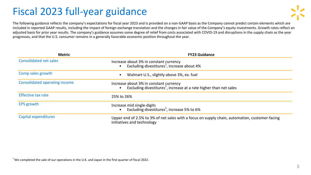### Fiscal 2023 full-year guidance



The following guidance reflects the company's expectations for fiscal year 2023 and is provided on a non-GAAP basis as the Company cannot predict certain elements which are included in reported GAAP results, including the impact of foreign exchange translation and the changes in fair value of the Company's equity investments. Growth rates reflect an adjusted basis for prior year results. The company's guidance assumes some degree of relief from costs associated with COVID-19 and disruptions in the supply chain as the year progresses, and that the U.S. consumer remains in a generally favorable economic position throughout the year.

| <b>Metric</b>                 | <b>FY23 Guidance</b>                                                                                                         |
|-------------------------------|------------------------------------------------------------------------------------------------------------------------------|
| <b>Consolidated net sales</b> | Increase about 3% in constant currency<br>Excluding divestitures <sup>1</sup> , increase about 4%                            |
| Comp sales growth             | Walmart U.S., slightly above 3%, ex. fuel                                                                                    |
| Consolidated operating income | Increase about 3% in constant currency<br>Excluding divestitures <sup>1</sup> , increase at a rate higher than net sales     |
| Effective tax rate            | 25% to 26%                                                                                                                   |
| <b>EPS</b> growth             | Increase mid single-digits<br>Excluding divestitures <sup>1</sup> , increase 5% to 6%                                        |
| Capital expenditures          | Upper end of 2.5% to 3% of net sales with a focus on supply chain, automation, customer-facing<br>initiatives and technology |

 $1$ We completed the sale of our operations in the U.K. and Japan in the first quarter of fiscal 2022.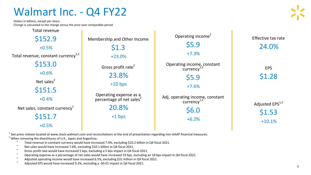## Walmart Inc. - Q4 FY22

Dollars in billions, except per share. Change is calculated as the change versus the prior year comparable period



 $^1$  See press release located at www.stock.walmart.com and reconciliations at the end of presentation regarding non-GAAP financial measures.  $2$  When removing the divestitures of U.K., Japan and Argentina:

- Total revenue in constant currency would have increased 7.9%, excluding \$10.2 billion in Q4 fiscal 2021.
- Net sales would have increased 7.6%, excluding \$10.1 billion in Q4 fiscal 2021.
- Gross profit rate would have increased 5 bps, excluding a 5 bps impact in Q4 fiscal 2021.
- Operating expense as a percentage of net sales would have increased 19 bps, excluding an 18 bps impact in Q4 fiscal 2021.
- Adjusted operating income would have increased 6.5%, excluding \$31 million in Q4 fiscal 2021.
- Adjusted EPS would have increased 9.3%, excluding a -\$0.01 impact in Q4 fiscal 2021.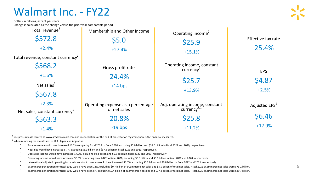### Walmart Inc. - FY22

Dollars in billions, except per share. Change is calculated as the change versus the prior year comparable period

| Total revenue <sup>2</sup><br>\$572.8<br>$+2.4%$<br>Total revenue, constant currency <sup>1</sup> | Membership and Other Income<br>\$5.0<br>$+27.4%$                        | Operating income <sup>2</sup><br>\$25.9<br>$+15.1%$                        | Effective tax rate<br>25.4%                     |
|---------------------------------------------------------------------------------------------------|-------------------------------------------------------------------------|----------------------------------------------------------------------------|-------------------------------------------------|
| \$568.2<br>$+1.6%$<br>Net sales <sup>2</sup><br>\$567.8                                           | Gross profit rate<br>24.4%<br>$+14$ bps                                 | Operating income, constant<br>currency <sup>-</sup><br>\$25.7<br>$+13.9%$  | <b>EPS</b><br>\$4.87<br>$+2.5%$                 |
| $+2.3%$<br>Net sales, constant currency <sup>1</sup><br>\$563.3<br>$+1.4%$                        | Operating expense as a percentage<br>of net sales<br>20.8%<br>$-19$ bps | Adj. operating income, constant<br>currency $^{1,2}$<br>\$25.8<br>$+11.2%$ | Adjusted EPS <sup>1</sup><br>\$6.46<br>$+17.9%$ |

<sup>1</sup> See press release located at www.stock.walmart.com and reconciliations at the end of presentation regarding non-GAAP financial measures.

 $2$  When removing the divestitures of U.K., Japan and Argentina:

- Total revenue would have increased 16.7% comparing fiscal 2022 to fiscal 2020, excluding \$5.0 billion and \$37.5 billion in fiscal 2022 and 2020, respectively.
- Net sales would have increased 8.7%, excluding \$5.0 billion and \$37.5 billion in fiscal 2022 and 2021, respectively.
- Operating income would have increased 17.9%, excluding \$0.3 billion and \$0.8 billion in fiscal 2022 and 2021, respectively.
- Operating income would have increased 30.6% comparing fiscal 2022 to fiscal 2020, excluding \$0.3 billion and \$0.9 billion in fiscal 2022 and 2020, respectively.
- International adjusted operating income in constant currency would have increased 12.7%, excluding \$0.3 billion and \$0.8 billion in fiscal 2022 and 2021, respectively.
- eCommerce penetration for fiscal 2022 would have been 13%, excluding \$0.7 billion of eCommerce net sales and \$5.0 billion of total net sales. Fiscal 2022 eCommerce net sales were \$73.2 billion.
- eCommerce penetration for fiscal 2020 would have been 6%, excluding \$9.4 billion of eCommerce net sales and \$37.2 billion of total net sales. Fiscal 2020 eCommerce net sales were \$39.7 billion.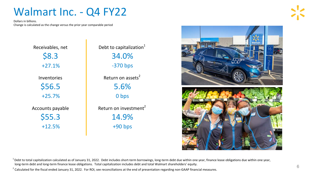### Walmart Inc. - Q4 FY22

Dollars in billions. Change is calculated as the change versus the prior year comparable period

> Receivables, net **Debt** to capitalization<sup>1</sup>  $$8.3$  34.0%  $+27.1\%$   $-370~bps$ Inventories  $\parallel$  Return on assets<sup>2</sup>  $$56.5$  5.6% +25.7% 0 bps Accounts payable **Return** on investment<sup>2</sup>  $$55.3$  14.9%  $+12.5\%$   $+90 \text{ bps}$



<sup>1</sup> Debt to total capitalization calculated as of January 31, 2022. Debt includes short-term borrowings, long-term debt due within one year, finance lease obligations due within one year, long-term debt and long-term finance lease obligations. Total capitalization includes debt and total Walmart shareholders' equity.

 $^2$  Calculated for the fiscal ended January 31, 2022. For ROI, see reconciliations at the end of presentation regarding non-GAAP financial measures.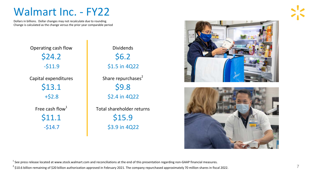### Walmart Inc. - FY22

Dollars in billions. Dollar changes may not recalculate due to rounding. Change is calculated as the change versus the prior vear comparable period

> Operating cash flow **Dividends**  $$24.2$   $$6.2$  $-$ \$11.9  $\bigcup$  \$1.5 in 4Q22 Capital expenditures  $\begin{array}{ccc} \hline \end{array}$  Share repurchases<sup>2</sup>  $$13.1$   $$9.8$  $+$ \$2.8  $\overline{)$  \$2.4 in 4Q22 Free cash flow $<sup>1</sup>$ </sup>  $$11.1$   $$15.9$  $-$ \$14.7  $\parallel$  \$3.9 in 4Q22

Total shareholder returns





 $<sup>1</sup>$  See press release located at www.stock.walmart.com and reconciliations at the end of this presentation regarding non-GAAP financial measures.</sup>

<sup>2</sup> \$10.6 billion remaining of \$20 billion authorization approved in February 2021. The company repurchased approximately 70 million shares in fiscal 2022.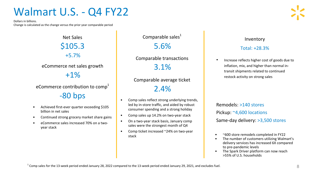### Walmart U.S. - Q4 FY22

Dollars in billions. Change is calculated as the change versus the prior vear comparable period

> Net Sales \$105.3 +5.7%

eCommerce net sales growth

+1%

eCommerce contribution to  $\text{com}^1$ 

 $-80$  bps

- Achieved first-ever quarter exceeding \$105 billion in net sales
- Continued strong grocery market share gains
- eCommerce sales increased 70% on a twoyear stack

Comparable sales $<sup>1</sup>$ </sup>

5.6%

Comparable transactions

3.1%

Comparable average ticket

2.4%

- Comp sales reflect strong underlying trends, led by in-store traffic, and aided by robust consumer spending and a strong holiday
- Comp sales up 14.2% on two-year stack
- On a two-year stack basis, January comp sales were the strongest month of Q4
- Comp ticket increased ~24% on two-year stack

Inventory

#### $Total: +28.3%$

Increase reflects higher cost of goods due to inflation, mix, and higher than normal intransit shipments related to continued restock activity on strong sales

Remodels: >140 stores Pickup: ~4,600 locations Same-day delivery: >3,500 stores

- ~600 store remodels completed in FY22
- The number of customers utilizing Walmart's delivery services has increased 6X compared to pre-pandemic levels
- The Spark Driver platform can now reach >55% of U.S. households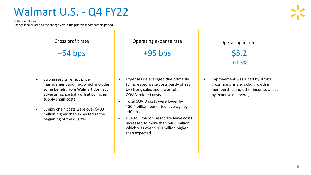### Walmart U.S. - Q4 FY22

Dollars in billions.

Change is calculated as the change versus the prior year comparable period

Gross profit rate

 $+54$  bps

- Strong results reflect price management and mix, which includes some benefit from Walmart Connect advertising, partially offset by higher supply chain costs
- Supply chain costs were over \$400 million higher than expected at the beginning of the quarter

Operating expense rate

 $+95$  bps

- Expenses deleveraged due primarily to increased wage costs partly offset by strong sales and lower total COVID-related costs
- Total COVID costs were lower by  $\sim$ \$0.4 billion; benefited leverage by  $~\sim$ 40 bps
- Due to Omicron, associate leave costs increased to more than \$400 million, which was over \$300 million higher than expected

Operating income

\$5.2 +0.3%

Improvement was aided by strong gross margins and solid growth in membership and other income, offset by expense deleverage

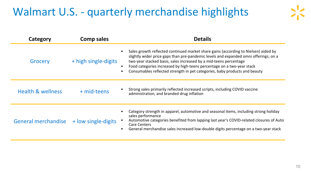## Walmart U.S. - quarterly merchandise highlights



| Category                     | <b>Comp sales</b>    | <b>Details</b>                                                                                                                                                                                                                                                                                                                                                                                           |
|------------------------------|----------------------|----------------------------------------------------------------------------------------------------------------------------------------------------------------------------------------------------------------------------------------------------------------------------------------------------------------------------------------------------------------------------------------------------------|
| Grocery                      | + high single-digits | Sales growth reflected continued market share gains (according to Nielsen) aided by<br>slightly wider price gaps than pre-pandemic levels and expanded omni offerings; on a<br>two-year stacked basis, sales increased by a mid-teens percentage<br>Food categories increased by high-teens percentage on a two-year stack<br>Consumables reflected strength in pet categories, baby products and beauty |
| <b>Health &amp; wellness</b> | + mid-teens          | Strong sales primarily reflected increased scripts, including COVID vaccine<br>administration, and branded drug inflation                                                                                                                                                                                                                                                                                |
| <b>General merchandise</b>   | + low single-digits  | Category strength in apparel, automotive and seasonal items, including strong holiday<br>sales performance<br>Automotive categories benefited from lapping last year's COVID-related closures of Auto<br>Care Centers<br>General merchandise sales increased low-double digits percentage on a two-year stack                                                                                            |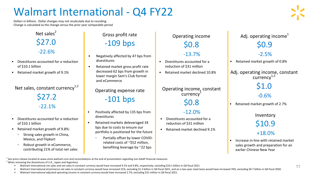## Walmart International - Q4 FY22

Dollars in billions. Dollar changes may not recalculate due to rounding. Change is calculated as the change versus the prior vear comparable period

> Net sales $2$ \$27.0 -22.6%

- Divestitures accounted for a reduction of \$10.1 billion
- Retained market growth of 9.1%

Net sales, constant currency<sup>1,2</sup> \$27.2 -22.1%

- Divestitures accounted for a reduction of \$10.1 billion
- Retained market growth of 9.8%:
	- Strong sales growth in China, Mexico, and Flipkart
	- Robust growth in eCommerce. contributing 21% of total net sales

#### Gross profit rate  $-109$  bps

- Negatively affected by 47 bps from divestitures
- Retained market gross profit rate decreased 62 bps from growth in lower margin Sam's Club format and eCommerce

Operating expense rate

 $-101$  bps

- Positively affected by 135 bps from divestitures
- Retained markets deleveraged 34 bps due to costs to ensure our portfolio is positioned for the future
	- Partially offset by lower COVIDrelated costs of ~\$52 million, benefiting leverage by  $\sim$ 22 bps



- Divestitures accounted for a reduction of \$31 million
- Retained market declined 10.8%

Operating income, constant  $current<sup>1</sup>$ 

\$0.8

- -12.0%
- Divestitures accounted for a reduction of \$31 million
- Retained market declined 9.1%

#### Adj. operating income<sup>1</sup> \$0.9 -2.5%

- Retained market growth of 0.8%
- Adj. operating income, constant  $currence<sup>1,2</sup>$ 
	- \$1.0
	- -0.6%
- Retained market growth of 2.7%

Inventory \$10.9

+18.0%

• Increase in-line with retained market sales growth and preparation for an earlier Chinese New Year

<sup>1</sup> See press release located at www.stock.walmart.com and reconciliations at the end of presentation regarding non-GAAP financial measures. <sup>2</sup> When removing the divestitures of U.K., Japan and Argentina:

- Walmart International net sales and net sales in constant currency would have increased 9.1% and 9.8%, respectively, excluding \$10.1 billion in Q4 fiscal 2021.
- Walmart International eCommerce net sales in constant currency would have increased 21%, excluding \$1.3 billion in Q4 fiscal 2021, and on a two-year stack basis would have increased 76%, excluding \$0.7 billion in Q4 fisc

• Walmart International adjusted operating income in constant currency would have increased 2.7%, excluding \$31 million in Q4 fiscal 2021.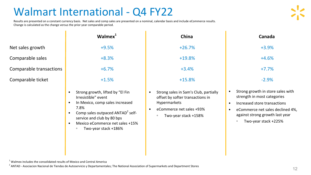### Walmart International - Q4 FY22

Results are presented on a constant currency basis. Net sales and comp sales are presented on a nominal, calendar basis and include eCommerce results. Change is calculated as the change versus the prior year comparable period.

|                         | Walmex <sup>1</sup>                                                                                                                                                                                                              | China                                                                                                                                                | Canada                                                                                                                                                                                         |
|-------------------------|----------------------------------------------------------------------------------------------------------------------------------------------------------------------------------------------------------------------------------|------------------------------------------------------------------------------------------------------------------------------------------------------|------------------------------------------------------------------------------------------------------------------------------------------------------------------------------------------------|
| Net sales growth        | $+9.5%$                                                                                                                                                                                                                          | $+26.7%$                                                                                                                                             | $+3.9%$                                                                                                                                                                                        |
| Comparable sales        | $+8.3%$                                                                                                                                                                                                                          | $+19.8%$                                                                                                                                             | $+4.6%$                                                                                                                                                                                        |
| Comparable transactions | $+6.7%$                                                                                                                                                                                                                          | $+3.4%$                                                                                                                                              | $+7.7%$                                                                                                                                                                                        |
| Comparable ticket       | $+1.5%$                                                                                                                                                                                                                          | $+15.8%$                                                                                                                                             | $-2.9%$                                                                                                                                                                                        |
|                         | Strong growth, lifted by "El Fin<br>$\bullet$<br>Irresistible" event<br>In Mexico, comp sales increased<br>7.8%<br>Comp sales outpaced ANTAD <sup>2</sup> self-<br>service and club by 80 bps<br>Mexico eCommerce net sales +15% | Strong sales in Sam's Club, partially<br>offset by softer transactions in<br><b>Hypermarkets</b><br>eCommerce net sales +93%<br>Two-year stack +158% | Strong growth in store sales with<br>strength in most categories<br>Increased store transactions<br>eCommerce net sales declined 49<br>against strong growth last year<br>Two-year stack +225% |

◦ Two-year stack +186%

- clined 4%, st year
	- Two-year stack +225%

 $<sup>1</sup>$  Walmex includes the consolidated results of Mexico and Central America</sup>

 $^2$  ANTAD - Asociacion Nacional de Tiendas de Autoservicio y Departamentales; The National Association of Supermarkets and Department Stores 12 and  $\sim$  12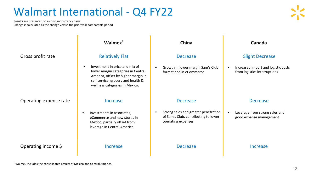### Walmart International - Q4 FY22

Results are presented on a constant currency basis. Change is calculated as the change versus the prior year comparable period

|                        | Walmex <sup>1</sup>                                                                                                                                                                 | <b>China</b>                                                                                       | Canada                                                                           |
|------------------------|-------------------------------------------------------------------------------------------------------------------------------------------------------------------------------------|----------------------------------------------------------------------------------------------------|----------------------------------------------------------------------------------|
| Gross profit rate      | <b>Relatively Flat</b>                                                                                                                                                              | <b>Decrease</b>                                                                                    | <b>Slight Decrease</b>                                                           |
|                        | Investment in price and mix of<br>lower margin categories in Central<br>America, offset by higher margin in<br>self service, grocery and health &<br>wellness categories in Mexico. | Growth in lower margin Sam's Club<br>$\bullet$<br>format and in eCommerce                          | Increased import and logistic costs<br>$\bullet$<br>from logistics interruptions |
| Operating expense rate | Increase                                                                                                                                                                            | <b>Decrease</b>                                                                                    | <b>Decrease</b>                                                                  |
|                        | Investments in associates,<br>eCommerce and new stores in<br>Mexico, partially offset from<br>leverage in Central America                                                           | Strong sales and greater penetration<br>of Sam's Club, contributing to lower<br>operating expenses | Leverage from strong sales and<br>$\bullet$<br>good expense management           |
| Operating income \$    | Increase                                                                                                                                                                            | <b>Decrease</b>                                                                                    | Increase                                                                         |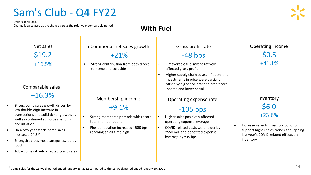### Sam's Club - Q4 FY22

Dollars in billions. Change is calculated as the change versus the prior vear comparable period

### **With Fuel With Fuel**

Net sales \$19.2

+16.5%

Comparable sales $<sup>1</sup>$ </sup>

+16.3%

- Strong comp sales growth driven by low double-digit increase in transactions and solid ticket growth, as well as continued stimulus spending and inflation
- On a two-year stack, comp sales increased 24.8%
- Strength across most categories, led by food
- Tobacco negatively affected comp sales

eCommerce net sales growth

+21%

• Strong contribution from both directto-home and curbside

#### Membership income

+9.1%

- Strong membership trends with record total member count
- $\bullet$  Plus penetration increased  $\sim$ 500 bps. reaching an all-time high

### Gross profit rate  $-48$  bps

- Unfavorable fuel mix negatively affected gross profit
- Higher supply chain costs, inflation, and investments in price were partially offset by higher co-branded credit card income and lower shrink

Operating expense rate

### $-105$  bps

- Higher sales positively affected operating expense leverage
- COVID-related costs were lower by ~\$50 mil. and benefited expense leverage by ~35 bps

Operating income \$0.5 +41.1%

> Inventory \$6.0 +23.6%

Increase reflects inventory build to support higher sales trends and lapping last vear's COVID-related effects on inventory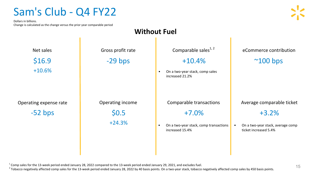Sam's Club - Q4 FY22

Dollars in billions. Change is calculated as the change versus the prior vear comparable period

#### **Without Fuel**



 $^1$  Comp sales for the 13-week period ended January 28, 2022 compared to the 13-week period ended January 29, 2021, and excludes fuel.

<sup>2</sup> Tobacco negatively affected comp sales for the 13-week period ended January 28, 2022 by 40 basis points. On a two-year stack, tobacco negatively affected comp sales by 450 basis points.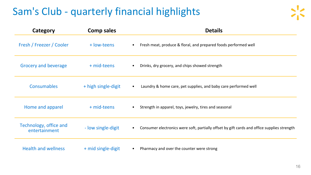## Sam's Club - quarterly financial highlights



| Category                                | <b>Comp sales</b>   | <b>Details</b>                                                                                           |
|-----------------------------------------|---------------------|----------------------------------------------------------------------------------------------------------|
| Fresh / Freezer / Cooler                | + low-teens         | Fresh meat, produce & floral, and prepared foods performed well<br>$\bullet$                             |
| Grocery and beverage                    | + mid-teens         | Drinks, dry grocery, and chips showed strength<br>$\bullet$                                              |
| <b>Consumables</b>                      | + high single-digit | Laundry & home care, pet supplies, and baby care performed well<br>$\bullet$                             |
| Home and apparel                        | + mid-teens         | Strength in apparel, toys, jewelry, tires and seasonal                                                   |
| Technology, office and<br>entertainment | - low single-digit  | Consumer electronics were soft, partially offset by gift cards and office supplies strength<br>$\bullet$ |
| <b>Health and wellness</b>              | + mid single-digit  | Pharmacy and over the counter were strong                                                                |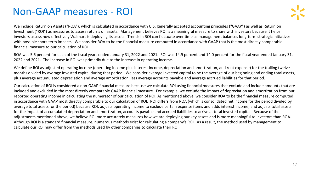### Non-GAAP measures - ROI



We include Return on Assets ("ROA"), which is calculated in accordance with U.S. generally accepted accounting principles ("GAAP") as well as Return on Investment ("ROI") as measures to assess returns on assets. Management believes ROI is a meaningful measure to share with investors because it helps investors assess how effectively Walmart is deploying its assets. Trends in ROI can fluctuate over time as management balances long-term strategic initiatives with possible short-term impacts. We consider ROA to be the financial measure computed in accordance with GAAP that is the most directly comparable financial measure to our calculation of ROL

ROA was 5.6 percent for each of the fiscal years ended January 31, 2022 and 2021. ROI was 14.9 percent and 14.0 percent for the fiscal year ended January 31, 2022 and 2021. The increase in ROI was primarily due to the increase in operating income.

We define ROI as adjusted operating income (operating income plus interest income, depreciation and amortization, and rent expense) for the trailing twelve months divided by average invested capital during that period. We consider average invested capital to be the average of our beginning and ending total assets, plus average accumulated depreciation and average amortization, less average accounts payable and average accrued liabilities for that period.

Our calculation of ROI is considered a non-GAAP financial measure because we calculate ROI using financial measures that exclude and include amounts that are included and excluded in the most directly comparable GAAP financial measure. For example, we exclude the impact of depreciation and amortization from our reported operating income in calculating the numerator of our calculation of ROI. As mentioned above, we consider ROA to be the financial measure computed in accordance with GAAP most directly comparable to our calculation of ROI. ROI differs from ROA (which is consolidated net income for the period divided by average total assets for the period) because ROI: adjusts operating income to exclude certain expense items and adds interest income; and adjusts total assets for the impact of accumulated depreciation and amortization, accounts payable and accrued liabilities to arrive at total invested capital. Because of the adjustments mentioned above, we believe ROI more accurately measures how we are deploying our key assets and is more meaningful to investors than ROA. Although ROI is a standard financial measure, numerous methods exist for calculating a company's ROI. As a result, the method used by management to calculate our ROI may differ from the methods used by other companies to calculate their ROI.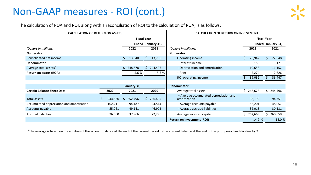### Non-GAAP measures - ROI (cont.)



The calculation of ROA and ROI, along with a reconciliation of ROI to the calculation of ROA, is as follows:

| <b>CALCULATION OF RETURN ON ASSETS</b>    |       |         |                   |                    |                      |           | <b>CALCULATION OF RETURN ON INVESTMENT</b> |                                                                     |                    |         |    |           |
|-------------------------------------------|-------|---------|-------------------|--------------------|----------------------|-----------|--------------------------------------------|---------------------------------------------------------------------|--------------------|---------|----|-----------|
|                                           |       |         |                   | <b>Fiscal Year</b> |                      |           |                                            |                                                                     | <b>Fiscal Year</b> |         |    |           |
|                                           |       |         | Ended January 31, |                    |                      |           |                                            |                                                                     | Ended January 31,  |         |    |           |
| (Dollars in millions)                     |       |         |                   | 2022               |                      | 2021      |                                            | (Dollars in millions)                                               |                    | 2022    |    | 2021      |
| <b>Numerator</b>                          |       |         |                   |                    |                      |           |                                            | <b>Numerator</b>                                                    |                    |         |    |           |
| Consolidated net income                   |       |         |                   | 13,940             |                      | 13,706    |                                            | Operating income                                                    | Ŝ.                 | 25,942  | Ś. | 22,548    |
| <b>Denominator</b>                        |       |         |                   |                    |                      |           |                                            | + Interest income                                                   |                    | 158     |    | 121       |
| Average total assets <sup>1</sup>         |       |         | Ś.                | 248,678            | S                    | 244,496   |                                            | + Depreciation and amortization                                     |                    | 10,658  |    | 11,152    |
| <b>Return on assets (ROA)</b>             | 5.6 % |         |                   | 5.6 %              | + Rent               |           |                                            | 2,274                                                               |                    | 2,626   |    |           |
|                                           |       |         |                   |                    | ROI operating income |           |                                            | 39,032                                                              |                    | 36,447  |    |           |
|                                           |       |         |                   |                    |                      |           |                                            |                                                                     |                    |         |    |           |
|                                           |       |         |                   | January 31,        |                      |           |                                            | <b>Denominator</b>                                                  |                    |         |    |           |
| <b>Certain Balance Sheet Data</b>         |       | 2022    |                   | 2021               |                      | 2020      |                                            | Average total assets <sup>1</sup>                                   |                    | 248,678 |    | \$244,496 |
| <b>Total assets</b>                       | Ś.    | 244,860 | S.                | 252,496            |                      | \$236,495 |                                            | + Average accumulated depreciation and<br>amortization <sup>1</sup> |                    | 98,199  |    | 94,351    |
| Accumulated depreciation and amortization |       | 102,211 |                   | 94,187             |                      | 94,514    |                                            | - Average accounts payable <sup>1</sup>                             |                    | 52,201  |    | 48,057    |
| Accounts payable                          |       | 55,261  |                   | 49,141             |                      | 46,973    |                                            | - Average accrued liabilities <sup>1</sup>                          |                    | 32,013  |    | 30,131    |
| <b>Accrued liabilities</b>                |       | 26,060  |                   | 37,966             |                      | 22,296    |                                            | Average invested capital                                            |                    | 262,663 | S. | 260,659   |
|                                           |       |         |                   |                    |                      |           |                                            | <b>Return on investment (ROI)</b>                                   |                    | 14.9 %  |    | 14.0 %    |

<sup>1</sup>The average is based on the addition of the account balance at the end of the current period to the account balance at the end of the prior period and dividing by 2.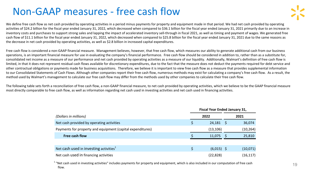### Non-GAAP measures - free cash flow



We define free cash flow as net cash provided by operating activities in a period minus payments for property and equipment made in that period. We had net cash provided by operating activities of \$24.2 billion for the fiscal year ended January 31, 2022, which decreased when compared to \$36.1 billion for the fiscal year ended January 31, 2021 primarily due to an increase in inventory costs and purchases to support strong sales and lapping the impact of accelerated inventory sell-through in fiscal 2021, as well as timing and payment of wages. We generated free cash flow of \$11.1 billion for the fiscal year ended January 31, 2022, which decreased when compared to \$25.8 billion for the fiscal year ended January 31, 2021 due to the same reasons as the decrease in net cash provided by operating activities, as well as \$2.8 billion in increased capital expenditures.

Free cash flow is considered a non-GAAP financial measure. Management believes, however, that free cash flow, which measures our ability to generate additional cash from our business operations, is an important financial measure for use in evaluating the company's financial performance. Free cash flow should be considered in addition to, rather than as a substitute for, consolidated net income as a measure of our performance and net cash provided by operating activities as a measure of our liquidity. Additionally, Walmart's definition of free cash flow is limited, in that it does not represent residual cash flows available for discretionary expenditures, due to the fact that the measure does not deduct the payments required for debt service and other contractual obligations or payments made for business acquisitions. Therefore, we believe it is important to view free cash flow as a measure that provides supplemental information to our Consolidated Statements of Cash Flows. Although other companies report their free cash flow, numerous methods may exist for calculating a company's free cash flow. As a result, the method used by Walmart's management to calculate our free cash flow may differ from the methods used by other companies to calculate their free cash flow.

The following table sets forth a reconciliation of free cash flow, a non-GAAP financial measure, to net cash provided by operating activities, which we believe to be the GAAP financial measure most directly comparable to free cash flow, as well as information regarding net cash used in investing activities and net cash used in financing activities.

|                                                            | Fiscal Year Ended January 31, |           |
|------------------------------------------------------------|-------------------------------|-----------|
| (Dollars in millions)                                      | 2022                          | 2021      |
| Net cash provided by operating activities                  | 24,181                        | 36,074    |
| Payments for property and equipment (capital expenditures) | (13, 106)                     | (10, 264) |
| Free cash flow                                             | 11.075                        | 25,810    |
|                                                            |                               |           |
| Net cash used in investing activities <sup>1</sup>         | $(6,015)$ \$                  | (10,071)  |
| Net cash used in financing activities                      | (22,828)                      | (16, 117) |

<sup>1</sup> "Net cash used in investing activities" includes payments for property and equipment, which is also included in our computation of free cash  $19$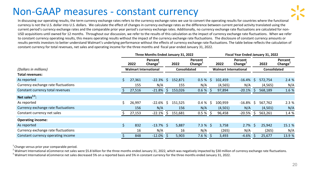### Non-GAAP measures - constant currency



In discussing our operating results, the term currency exchange rates refers to the currency exchange rates we use to convert the operating results for countries where the functional currency is not the U.S. dollar into U.S. dollars. We calculate the effect of changes in currency exchange rates as the difference between current period activity translated using the current period's currency exchange rates and the comparable prior year period's currency exchange rates. Additionally, no currency exchange rate fluctuations are calculated for non-USD acquisitions until owned for 12 months. Throughout our discussion, we refer to the results of this calculation as the impact of currency exchange rate fluctuations. When we refer to constant currency operating results, this means operating results without the impact of the currency exchange rate fluctuations. The disclosure of constant currency amounts or results permits investors to better understand Walmart's underlying performance without the effects of currency exchange rate fluctuations. The table below reflects the calculation of constant currency for total revenues, net sales and operating income for the three months and fiscal year ended January 31, 2022.

|                                     | Three Months Ended January 31, 2022 |        |                                |              |                     |                                |              | Fiscal Year Ended January 31, 2022 |                                |    |                     |                   |
|-------------------------------------|-------------------------------------|--------|--------------------------------|--------------|---------------------|--------------------------------|--------------|------------------------------------|--------------------------------|----|---------------------|-------------------|
|                                     |                                     | 2022   | Percent<br>Change <sup>+</sup> |              | 2022                | Percent<br>Change <sup>+</sup> |              | 2022                               | Percent<br>Change <sup>-</sup> |    | 2022                | Percent<br>Change |
| (Dollars in millions)               |                                     |        | <b>Walmart International</b>   |              | <b>Consolidated</b> |                                |              | <b>Walmart International</b>       |                                |    | <b>Consolidated</b> |                   |
| <b>Total revenues:</b>              |                                     |        |                                |              |                     |                                |              |                                    |                                |    |                     |                   |
| As reported                         | Ś.                                  | 27,361 | $-22.3%$                       | Ŝ.           | 152,871             | 0.5%                           | <sup>S</sup> | 102,459                            | $-16.4%$                       | Ŝ. | 572,754             | 2.4 %             |
| Currency exchange rate fluctuations |                                     | 155    | N/A                            |              | 155                 | N/A                            |              | (4, 565)                           | N/A                            |    | (4, 565)            | N/A               |
| Constant currency total revenues    |                                     | 27,516 | $-21.8%$                       | <sup>S</sup> | 153,026             | $0.6 \%$ \$                    |              | 97,894                             | $-20.1%$                       |    | 568,189             | 1.6 %             |
| Net sales $2,3$ :                   |                                     |        |                                |              |                     |                                |              |                                    |                                |    |                     |                   |
| As reported                         | Ŝ.                                  | 26,997 | -22.6%                         | Ŝ.           | 151,525             | 0.4%                           | S            | 100,959                            | -16.8%                         | S  | 567,762             | 2.3 %             |
| Currency exchange rate fluctuations |                                     | 156    | N/A                            |              | 156                 | N/A                            |              | (4,501)                            | N/A                            |    | (4,501)             | N/A               |
| Constant currency net sales         |                                     | 27,153 | -22.1%                         | Ŝ.           | 151,681             | 0.5%                           | <sub>S</sub> | 96,458                             | -20.5%                         | -S | 563,261             | 1.4 %             |
| <b>Operating income:</b>            |                                     |        |                                |              |                     |                                |              |                                    |                                |    |                     |                   |
| As reported                         | $\mathsf{S}$                        | 832    | $-13.7\%$ \$                   |              | 5,887               | $7.3 \%$ \$                    |              | 3,758                              | 2.7%                           |    | 25,942              | 15.1 %            |
| Currency exchange rate fluctuations |                                     | 16     | N/A                            |              | 16                  | N/A                            |              | (265)                              | N/A                            |    | (265)               | N/A               |
| Constant currency operating income  |                                     | 848    | $-12.0\%$                      |              | 5,903               | 7.6 %                          |              | 3,493                              | $-4.6%$                        |    | 25,677              | 13.9 %            |

 $1$ Change versus prior year comparable period.

<sup>2</sup> Walmart International eCommerce net sales were \$5.8 billion for the three months ended January 31, 2022, which was negatively impacted by \$30 million of currency exchange rate fluctuations.

 $^3$  Walmart International eCommerce net sales decreased 5% on a reported basis and 5% in constant currency for the three months ended January 31, 2022.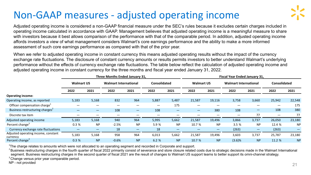### Non-GAAP measures - adjusted operating income

Adjusted operating income is considered a non-GAAP financial measure under the SEC's rules because it excludes certain charges included in operating income calculated in accordance with GAAP. Management believes that adjusted operating income is a meaningful measure to share with investors because it best allows comparison of the performance with that of the comparable period. In addition, adjusted operating income affords investors a view of what management considers Walmart's core earnings performance and the ability to make a more informed assessment of such core earnings performance as compared with that of the prior year.

When we refer to adjusted operating income in constant currency this means adjusted operating results without the impact of the currency exchange rate fluctuations. The disclosure of constant currency amounts or results permits investors to better understand Walmart's underlying performance without the effects of currency exchange rate fluctuations. The table below reflect the calculation of adjusted operating income and adjusted operating income in constant currency for the three months and fiscal year ended January 31, 2022.

|                                                 | Three Months Ended January 31, |                          |                              |                                |              |                                |                          | Fiscal Year Ended January 31, |                              |           |                     |           |  |  |
|-------------------------------------------------|--------------------------------|--------------------------|------------------------------|--------------------------------|--------------|--------------------------------|--------------------------|-------------------------------|------------------------------|-----------|---------------------|-----------|--|--|
|                                                 | <b>Walmart US</b>              |                          | <b>Walmart International</b> |                                | Consolidated |                                | <b>Walmart US</b>        |                               | <b>Walmart International</b> |           | <b>Consolidated</b> |           |  |  |
|                                                 | 2022                           | 2021                     | 2022                         | 2021                           | 2022         | 2021                           | 2022                     | 2021                          | 2022                         | 2021      | 2022                | 2021      |  |  |
| <b>Operating income:</b>                        |                                |                          |                              |                                |              |                                |                          |                               |                              |           |                     |           |  |  |
| Operating income, as reported                   | 5,183                          | 5,168                    | 832                          | 964                            | 5,887        | 5,487                          | 21,587                   | 19,116                        | 3,758                        | 3,660     | 25,942              | 22,548    |  |  |
| Officer compensation charge <sup>1</sup>        |                                |                          |                              |                                | –            | 175                            |                          |                               |                              |           |                     | 175       |  |  |
| Business restructuring charges <sup>2</sup>     | $\qquad \qquad \longleftarrow$ | $\overline{\phantom{0}}$ | 108                          | $\qquad \qquad \longleftarrow$ | 108          | $\qquad \qquad \longleftarrow$ | $\overline{\phantom{m}}$ | 380                           | 108                          | -         | 108                 | 380       |  |  |
| Discrete tax item                               |                                |                          | —                            |                                |              |                                |                          |                               |                              | 77        | —                   | 77        |  |  |
| Adjusted operating income                       | 5,183                          | 5,168                    | 940                          | 964                            | 5,995        | 5,662                          | 21,587                   | 19,496                        | 3,866                        | 3,737     | 26,050              | 23,180    |  |  |
| Percent change <sup>3</sup>                     | 0.3%                           | <b>NP</b>                | $-2.5%$                      | <b>NP</b>                      | 5.9%         | <b>NP</b>                      | 10.7%                    | <b>NP</b>                     | 3.5 %                        | <b>NP</b> | 12.4 %              | <b>NP</b> |  |  |
| Currency exchange rate fluctuations             |                                |                          | 18                           | -                              | 18           |                                |                          |                               | (263)                        | -         | (263)               |           |  |  |
| Adjusted operating income, constant<br>currency | 5,183                          | 5,168                    | 958                          | 964                            | 6,013        | 5,662                          | 21,587                   | 19,496                        | 3,603                        | 3,737     | 25,787              | 23,180    |  |  |
| Percent change <sup>3</sup>                     | 0.3%                           | <b>NP</b>                | $-0.6%$                      | <b>NP</b>                      | 6.2%         | <b>NP</b>                      | 10.7 %                   | <b>NP</b>                     | (3.6)%                       | <b>NP</b> | 11.2 %              | <b>NP</b> |  |  |

1 The charge relates to amounts which were not allocated to an operating segment and recorded in Corporate and support.

<sup>2</sup>Business restructuring charges in the fourth quarter of fiscal 2022 primarily consist of severance and store closure related costs due to strategic decisions made in the Walmart International segment. Business restructuring charges in the second quarter of fiscal 2021 are the result of changes to Walmart US support teams to better support its omni-channel strategy.

<sup>3</sup> Change versus prior year comparable period.

NP - not provided 21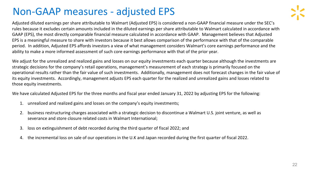### Non-GAAP measures - adjusted EPS

Adjusted diluted earnings per share attributable to Walmart (Adjusted EPS) is considered a non-GAAP financial measure under the SEC's rules because it excludes certain amounts included in the diluted earnings per share attributable to Walmart calculated in accordance with GAAP (EPS), the most directly comparable financial measure calculated in accordance with GAAP. Management believes that Adjusted EPS is a meaningful measure to share with investors because it best allows comparison of the performance with that of the comparable period. In addition, Adjusted EPS affords investors a view of what management considers Walmart's core earnings performance and the ability to make a more informed assessment of such core earnings performance with that of the prior year.

We adjust for the unrealized and realized gains and losses on our equity investments each quarter because although the investments are strategic decisions for the company's retail operations, management's measurement of each strategy is primarily focused on the operational results rather than the fair value of such investments. Additionally, management does not forecast changes in the fair value of its equity investments. Accordingly, management adjusts EPS each quarter for the realized and unrealized gains and losses related to those equity investments.

We have calculated Adjusted EPS for the three months and fiscal year ended January 31, 2022 by adjusting EPS for the following:

- 1. unrealized and realized gains and losses on the company's equity investments;
- 2. business restructuring charges associated with a strategic decision to discontinue a Walmart U.S. joint venture, as well as severance and store closure related costs in Walmart International;
- 3. loss on extinguishment of debt recorded during the third quarter of fiscal 2022; and
- 4. the incremental loss on sale of our operations in the U.K and Japan recorded during the first quarter of fiscal 2022.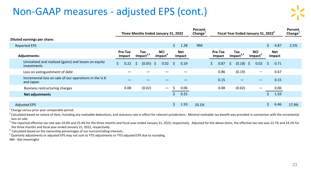### Non-GAAP measures - adjusted EPS (cont.)

|                                                                            | Three Months Ended January 31, 2022 |                        |                            |                      | Percent<br>Change <sup>1</sup> | Fiscal Year Ended January 31, 2022 <sup>5</sup> |                        |                                   |                      | Percent<br>Change <sup>1</sup> |
|----------------------------------------------------------------------------|-------------------------------------|------------------------|----------------------------|----------------------|--------------------------------|-------------------------------------------------|------------------------|-----------------------------------|----------------------|--------------------------------|
| Diluted earnings per share:                                                |                                     |                        |                            |                      |                                |                                                 |                        |                                   |                      |                                |
| <b>Reported EPS</b>                                                        |                                     |                        |                            | \$<br>1.28           | <b>NM</b>                      |                                                 |                        |                                   | \$.<br>4.87          | 2.5%                           |
| Adjustments:                                                               | Pre-Tax<br>Impact                   | Tax<br>Impact $^{2,3}$ | NCI<br>Impact <sup>4</sup> | <b>Net</b><br>Impact |                                | Pre-Tax<br>Impact                               | Tax<br>Impact $^{2,3}$ | <b>NCI</b><br>Impact <sup>4</sup> | <b>Net</b><br>Impact |                                |
| Unrealized and realized (gains) and losses on equity<br><i>investments</i> | \$<br>0.22                          | (0.05)<br>S            | \$<br>0.02                 | 0.19<br>Ŝ.           |                                | \$<br>0.87                                      | (0.18)<br>S            | <sup>S</sup><br>0.02              | 0.71<br>S.           |                                |
| Loss on extinguishment of debt                                             |                                     |                        |                            |                      |                                | 0.86                                            | (0.19)                 | $\overline{\phantom{a}}$          | 0.67                 |                                |
| Incremental loss on sale of our operations in the U.K.<br>and Japan        |                                     |                        |                            |                      |                                | 0.15                                            |                        | –                                 | 0.15                 |                                |
| Business restructuring charges                                             | 0.08                                | (0.02)                 | $\qquad \qquad -$          | 0.06                 |                                | 0.08                                            | (0.02)                 | —                                 | 0.06                 |                                |
| <b>Net adjustments</b>                                                     |                                     |                        |                            | 0.25                 |                                |                                                 |                        |                                   | 1.59                 |                                |
|                                                                            |                                     |                        |                            |                      |                                |                                                 |                        |                                   |                      |                                |
| <b>Adjusted EPS</b>                                                        |                                     |                        |                            | 1.53<br>Ś.           | 10.1%                          |                                                 |                        |                                   | Ś.<br>6.46           | 17.9%                          |

 $1$ Change versus prior year comparable period.

<sup>2</sup> Calculated based on nature of item, including any realizable deductions, and statutory rate in effect for relevant jurisdictions. Minimal realizable tax benefit was provided in connection with the incremental loss on sale.

<sup>3</sup> The reported effective tax rate was 24.0% and 25.4% for the three months and fiscal year ended January 31, 2022, respectively. Adjusted for the above items, the effective tax rate was 23.7% and 24.3% for the three months and fiscal year ended January 31, 2022, respectively.

 $<sup>4</sup>$  Calculated based on the ownership percentages of our noncontrolling interests.</sup>

 $5$ Quarterly adjustments or adjusted EPS may not sum to YTD adjustments or YTD adjusted EPS due to rounding.

NM - Not meaningful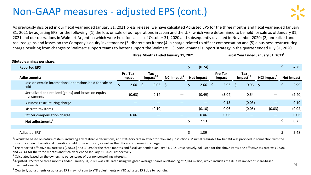### Non-GAAP measures - adjusted EPS (cont.)



As previously disclosed in our fiscal year ended January 31, 2021 press release, we have calculated Adjusted EPS for the three months and fiscal year ended January 31, 2021 by adjusting EPS for the following: (1) the loss on sale of our operations in Japan and the U.K. which were determined to be held for sale as of January 31, 2021 and our operations in Walmart Argentina which were held for sale as of October 31, 2020 and subsequently divested in November 2020; (2) unrealized and realized gains and losses on the Company's equity investments; (3) discrete tax items; (4) a charge related to officer compensation and (5) a business restructuring charge resulting from changes to Walmart support teams to better support the Walmart U.S. omni-channel support strategy in the quarter ended July 31, 2020.

|                                                                     | Three Months Ended January 31, 2021 |                     |                         |                   |                   | Fiscal Year Ended January 31, 2021 <sup>5</sup> |                           |                      |  |
|---------------------------------------------------------------------|-------------------------------------|---------------------|-------------------------|-------------------|-------------------|-------------------------------------------------|---------------------------|----------------------|--|
| Diluted earnings per share:                                         |                                     |                     |                         |                   |                   |                                                 |                           |                      |  |
| <b>Reported EPS</b>                                                 |                                     |                     |                         | \$.<br>(0.74)     |                   |                                                 |                           | 4.75<br>\$           |  |
| <b>Adjustments:</b>                                                 | Pre-Tax<br>Impact                   | Tax<br>Impact $1,2$ | NCI Impact <sup>3</sup> | <b>Net Impact</b> | Pre-Tax<br>Impact | Tax<br>Impact $1,2$                             | NCI Impact <sup>3</sup>   | Net Impact           |  |
| Loss on certain international operations held for sale or<br>sold   | \$<br>2.60                          | 0.06<br>- \$        | - \$<br>—               | 2.66<br>S         | 2.93<br>- \$      | 0.06<br>- \$                                    | - \$<br>$\qquad \qquad -$ | 2.99<br><sub>S</sub> |  |
| Unrealized and realized (gains) and losses on equity<br>investments | (0.63)                              | 0.14                | –                       | (0.49)            | (3.04)            | 0.64                                            |                           | (2.40)               |  |
| Business restructuring charge                                       |                                     |                     |                         |                   | 0.13              | (0.03)                                          |                           | 0.10                 |  |
| Discrete tax items                                                  | —                                   | (0.10)              |                         | (0.10)            | 0.06              | (0.05)                                          | (0.03)                    | (0.02)               |  |
| Officer compensation charge                                         | 0.06                                |                     |                         | 0.06              | 0.06              |                                                 |                           | 0.06                 |  |
| Net adjustments <sup>4</sup>                                        |                                     |                     |                         | 2.13<br>Ŝ         |                   |                                                 |                           | 0.73                 |  |
|                                                                     |                                     |                     |                         |                   |                   |                                                 |                           |                      |  |
| Adjusted EPS <sup>4</sup>                                           |                                     |                     |                         | Ś<br>1.39         |                   |                                                 |                           | 5.48<br>↘            |  |

<sup>1</sup>Calculated based on nature of item, including any realizable deductions, and statutory rate in effect for relevant jurisdictions. Minimal realizable tax benefit was provided in connection with the loss on certain international operations held for sale or sold, as well as the officer compensation charge.

<sup>2</sup> The reported effective tax rate was (238.6%) and 33.3% for the three months and fiscal year ended January 31, 2021, respectively. Adjusted for the above items, the effective tax rate was 22.0% and 24.3% for the three months and fiscal year ended January 31, 2021, respectively.

 $3$  Calculated based on the ownership percentages of our noncontrolling interests.

<sup>4</sup> Adiusted EPS for the three months ended January 31, 2021 was calculated using weighted average shares outstanding of 2,844 million, which includes the dilutive impact of share-based payment awards.

<sup>5</sup> Quarterly adiustments or adjusted EPS may not sum to YTD adjustments or YTD adjusted EPS due to rounding.